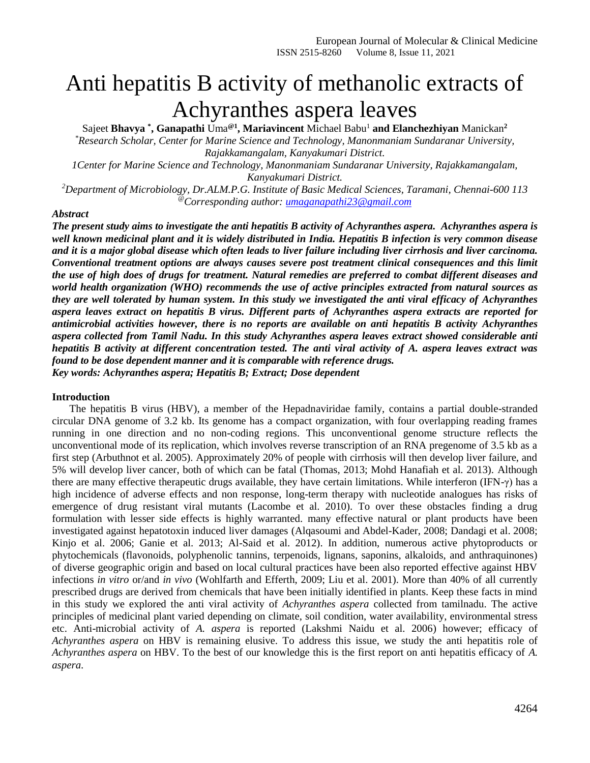# Anti hepatitis B activity of methanolic extracts of Achyranthes aspera leaves

Sajeet **Bhavya \* , Ganapathi** Uma**@1, Mariavincent** Michael Babu<sup>1</sup> **and Elanchezhiyan** Manickan**<sup>2</sup>** *\*Research Scholar, Center for Marine Science and Technology, Manonmaniam Sundaranar University, Rajakkamangalam, Kanyakumari District.*

*1Center for Marine Science and Technology, Manonmaniam Sundaranar University, Rajakkamangalam, Kanyakumari District.*

*<sup>2</sup>Department of Microbiology, Dr.ALM.P.G. Institute of Basic Medical Sciences, Taramani, Chennai-600 113 @Corresponding author: [umaganapathi23@gmail.com](mailto:umaganapathi23@gmail.com)*

## *Abstract*

*The present study aims to investigate the anti hepatitis B activity of Achyranthes aspera. Achyranthes aspera is well known medicinal plant and it is widely distributed in India. Hepatitis B infection is very common disease and it is a major global disease which often leads to liver failure including liver cirrhosis and liver carcinoma. Conventional treatment options are always causes severe post treatment clinical consequences and this limit the use of high does of drugs for treatment. Natural remedies are preferred to combat different diseases and world health organization (WHO) recommends the use of active principles extracted from natural sources as they are well tolerated by human system. In this study we investigated the anti viral efficacy of Achyranthes aspera leaves extract on hepatitis B virus. Different parts of Achyranthes aspera extracts are reported for antimicrobial activities however, there is no reports are available on anti hepatitis B activity Achyranthes aspera collected from Tamil Nadu. In this study Achyranthes aspera leaves extract showed considerable anti hepatitis B activity at different concentration tested. The anti viral activity of A. aspera leaves extract was found to be dose dependent manner and it is comparable with reference drugs. Key words: Achyranthes aspera; Hepatitis B; Extract; Dose dependent* 

## **Introduction**

The hepatitis B virus (HBV), a member of the Hepadnaviridae family, contains a partial double-stranded circular DNA genome of 3.2 kb. Its genome has a compact organization, with four overlapping reading frames running in one direction and no non-coding regions. This unconventional genome structure reflects the unconventional mode of its replication, which involves reverse transcription of an RNA pregenome of 3.5 kb as a first step (Arbuthnot et al. 2005). Approximately 20% of people with cirrhosis will then develop liver failure, and 5% will develop liver cancer, both of which can be fatal (Thomas, 2013; Mohd Hanafiah et al. 2013). Although there are many effective therapeutic drugs available, they have certain limitations. While interferon (IFN-γ) has a high incidence of adverse effects and non response, long-term therapy with nucleotide analogues has risks of emergence of drug resistant viral mutants (Lacombe et al. 2010). To over these obstacles finding a drug formulation with lesser side effects is highly warranted. many effective natural or plant products have been investigated against hepatotoxin induced liver damages (Alqasoumi and Abdel-Kader, 2008; Dandagi et al. 2008; Kinjo et al. 2006; Ganie et al. 2013; Al-Said et al. 2012). In addition, numerous active phytoproducts or phytochemicals (flavonoids, polyphenolic tannins, terpenoids, lignans, saponins, alkaloids, and anthraquinones) of diverse geographic origin and based on local cultural practices have been also reported effective against HBV infections *in vitro* or/and *in vivo* (Wohlfarth and Efferth, 2009; Liu et al. 2001). More than 40% of all currently prescribed drugs are derived from chemicals that have been initially identified in plants. Keep these facts in mind in this study we explored the anti viral activity of *Achyranthes aspera* collected from tamilnadu. The active principles of medicinal plant varied depending on climate, soil condition, water availability, environmental stress etc. Anti-microbial activity of *A. aspera* is reported (Lakshmi Naidu et al. 2006) however; efficacy of *Achyranthes aspera* on HBV is remaining elusive. To address this issue, we study the anti hepatitis role of *Achyranthes aspera* on HBV. To the best of our knowledge this is the first report on anti hepatitis efficacy of *A. aspera*.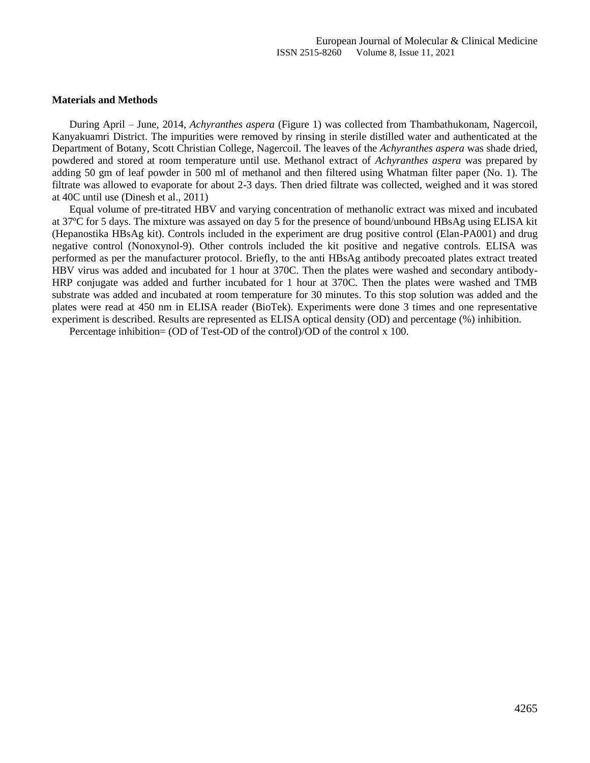#### **Materials and Methods**

During April – June, 2014, *Achyranthes aspera* (Figure 1) was collected from Thambathukonam, Nagercoil, Kanyakuamri District. The impurities were removed by rinsing in sterile distilled water and authenticated at the Department of Botany, Scott Christian College, Nagercoil. The leaves of the *Achyranthes aspera* was shade dried, powdered and stored at room temperature until use. Methanol extract of *Achyranthes aspera* was prepared by adding 50 gm of leaf powder in 500 ml of methanol and then filtered using Whatman filter paper (No. 1). The filtrate was allowed to evaporate for about 2-3 days. Then dried filtrate was collected, weighed and it was stored at 40C until use (Dinesh et al., 2011)

Equal volume of pre-titrated HBV and varying concentration of methanolic extract was mixed and incubated at 37ºC for 5 days. The mixture was assayed on day 5 for the presence of bound/unbound HBsAg using ELISA kit (Hepanostika HBsAg kit). Controls included in the experiment are drug positive control (Elan-PA001) and drug negative control (Nonoxynol-9). Other controls included the kit positive and negative controls. ELISA was performed as per the manufacturer protocol. Briefly, to the anti HBsAg antibody precoated plates extract treated HBV virus was added and incubated for 1 hour at 370C. Then the plates were washed and secondary antibody-HRP conjugate was added and further incubated for 1 hour at 370C. Then the plates were washed and TMB substrate was added and incubated at room temperature for 30 minutes. To this stop solution was added and the plates were read at 450 nm in ELISA reader (BioTek). Experiments were done 3 times and one representative experiment is described. Results are represented as ELISA optical density (OD) and percentage (%) inhibition.

Percentage inhibition= (OD of Test-OD of the control)/OD of the control x 100.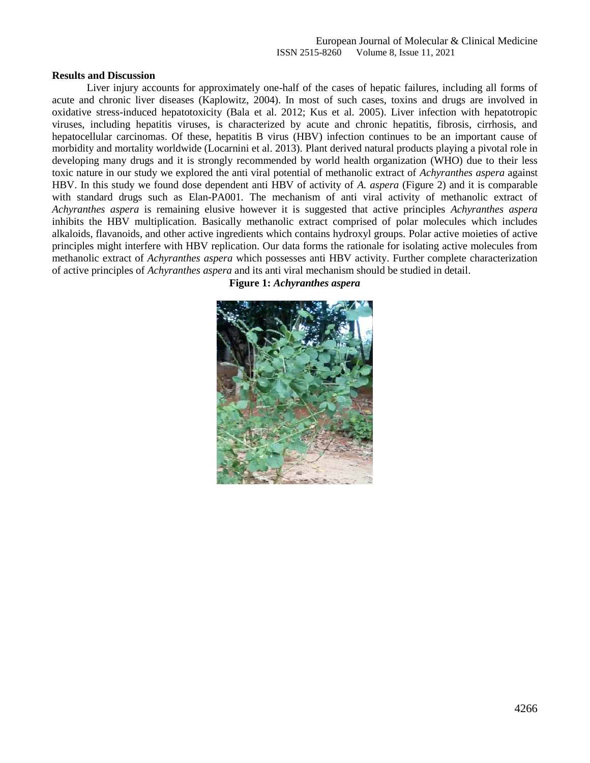#### **Results and Discussion**

Liver injury accounts for approximately one-half of the cases of hepatic failures, including all forms of acute and chronic liver diseases (Kaplowitz, 2004). In most of such cases, toxins and drugs are involved in oxidative stress-induced hepatotoxicity (Bala et al. 2012; Kus et al. 2005). Liver infection with hepatotropic viruses, including hepatitis viruses, is characterized by acute and chronic hepatitis, fibrosis, cirrhosis, and hepatocellular carcinomas. Of these, hepatitis B virus (HBV) infection continues to be an important cause of morbidity and mortality worldwide (Locarnini et al. 2013). Plant derived natural products playing a pivotal role in developing many drugs and it is strongly recommended by world health organization (WHO) due to their less toxic nature in our study we explored the anti viral potential of methanolic extract of *Achyranthes aspera* against HBV. In this study we found dose dependent anti HBV of activity of *A. aspera* (Figure 2) and it is comparable with standard drugs such as Elan-PA001. The mechanism of anti viral activity of methanolic extract of *Achyranthes aspera* is remaining elusive however it is suggested that active principles *Achyranthes aspera* inhibits the HBV multiplication. Basically methanolic extract comprised of polar molecules which includes alkaloids, flavanoids, and other active ingredients which contains hydroxyl groups. Polar active moieties of active principles might interfere with HBV replication. Our data forms the rationale for isolating active molecules from methanolic extract of *Achyranthes aspera* which possesses anti HBV activity. Further complete characterization of active principles of *Achyranthes aspera* and its anti viral mechanism should be studied in detail.

## **Figure 1:** *Achyranthes aspera*

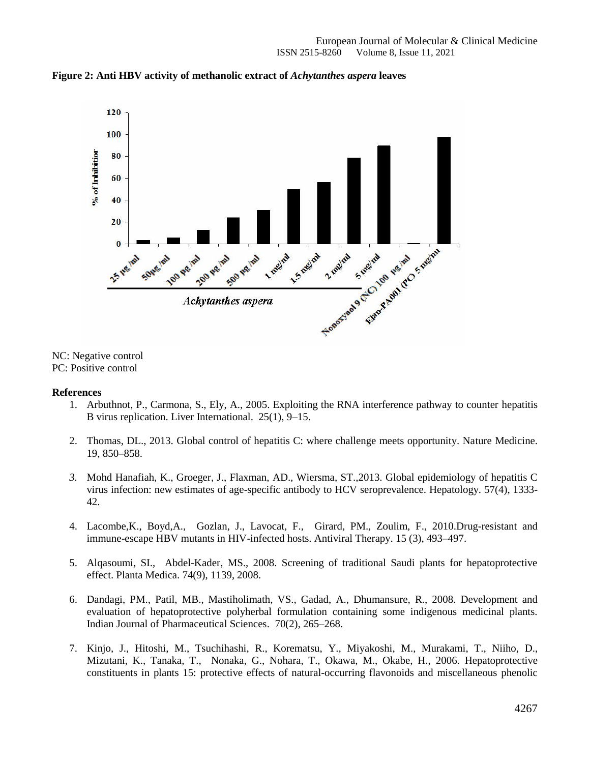

**Figure 2: Anti HBV activity of methanolic extract of** *Achytanthes aspera* **leaves**

NC: Negative control PC: Positive control

## **References**

- 1. Arbuthnot, P., Carmona, S., Ely, A., 2005. Exploiting the RNA interference pathway to counter hepatitis B virus replication. Liver International. 25(1), 9–15.
- 2. Thomas, DL., 2013. Global control of hepatitis C: where challenge meets opportunity. Nature Medicine. 19, 850–858.
- *3.* Mohd Hanafiah, K., Groeger, J., Flaxman, AD., Wiersma, ST.,2013. Global epidemiology of hepatitis C virus infection: new estimates of age-specific antibody to HCV seroprevalence. Hepatology. 57(4), 1333- 42.
- 4. Lacombe,K., Boyd,A., Gozlan, J., Lavocat, F., Girard, PM., Zoulim, F., 2010.Drug-resistant and immune-escape HBV mutants in HIV-infected hosts. Antiviral Therapy. 15 (3), 493–497.
- 5. Alqasoumi, SI., Abdel-Kader, MS., 2008. Screening of traditional Saudi plants for hepatoprotective effect. Planta Medica. 74(9), 1139, 2008.
- 6. Dandagi, PM., Patil, MB., Mastiholimath, VS., Gadad, A., Dhumansure, R., 2008. Development and evaluation of hepatoprotective polyherbal formulation containing some indigenous medicinal plants. Indian Journal of Pharmaceutical Sciences. 70(2), 265–268.
- 7. Kinjo, J., Hitoshi, M., Tsuchihashi, R., Korematsu, Y., Miyakoshi, M., Murakami, T., Niiho, D., Mizutani, K., Tanaka, T., Nonaka, G., Nohara, T., Okawa, M., Okabe, H., 2006. Hepatoprotective constituents in plants 15: protective effects of natural-occurring flavonoids and miscellaneous phenolic